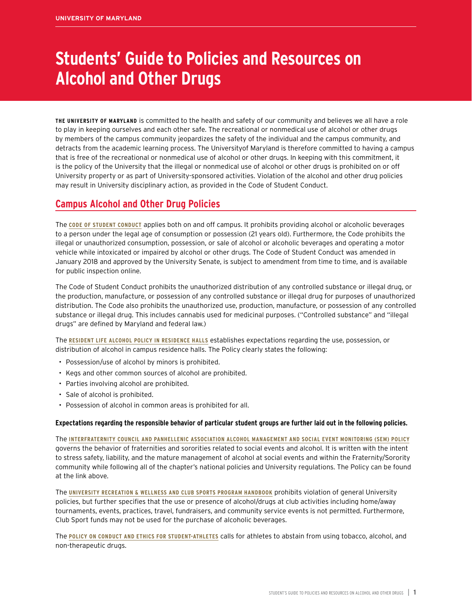# **Students' Guide to Policies and Resources on Alcohol and Other Drugs**

**THE UNIVERSITY OF MARYLAND** is committed to the health and safety of our community and believes we all have a role to play in keeping ourselves and each other safe. The recreational or nonmedical use of alcohol or other drugs by members of the campus community jeopardizes the safety of the individual and the campus community, and detracts from the academic learning process. The Universityof Maryland is therefore committed to having a campus that is free of the recreational or nonmedical use of alcohol or other drugs. In keeping with this commitment, it is the policy of the University that the illegal or nonmedical use of alcohol or other drugs is prohibited on or off University property or as part of University-sponsored activities. Violation of the alcohol and other drug policies may result in University disciplinary action, as provided in the Code of Student Conduct.

# **Campus Alcohol and Other Drug Policies**

The **[CODE OF STUDENT CONDUCT](https://policies.umd.edu/policy/8f61058d-03a8-4b77-9f73-064ca5253542/)** applies both on and off campus. It prohibits providing alcohol or alcoholic beverages to a person under the legal age of consumption or possession (21 years old). Furthermore, the Code prohibits the illegal or unauthorized consumption, possession, or sale of alcohol or alcoholic beverages and operating a motor vehicle while intoxicated or impaired by alcohol or other drugs. The Code of Student Conduct was amended in January 2018 and approved by the University Senate, is subject to amendment from time to time, and is available for public inspection online.

The Code of Student Conduct prohibits the unauthorized distribution of any controlled substance or illegal drug, or the production, manufacture, or possession of any controlled substance or illegal drug for purposes of unauthorized distribution. The Code also prohibits the unauthorized use, production, manufacture, or possession of any controlled substance or illegal drug. This includes cannabis used for medicinal purposes. ("Controlled substance" and "illegal drugs" are defined by Maryland and federal law.)

The **[RESIDENT LIFE ALCOHOL POLICY IN RESIDENCE HALLS](http://reslife.umd.edu/policies/alcoholpolicy/)** establishes expectations regarding the use, possession, or distribution of alcohol in campus residence halls. The Policy clearly states the following:

- Possession/use of alcohol by minors is prohibited.
- Kegs and other common sources of alcohol are prohibited.
- Parties involving alcohol are prohibited.
- Sale of alcohol is prohibited.
- Possession of alcohol in common areas is prohibited for all.

# **Expectations regarding the responsible behavior of particular student groups are further laid out in the following policies.**

The **[INTERFRATERNITY COUNCIL AND PANHELLENIC ASSOCIATION ALCOHOL MANAGEMENT AND SOCIAL EVENT MONITORING \(SEM\) POLICY](https://greek.umd.edu/documents/general-policies/Alcohol-Management-and-SEM-Policy-updated-Feb.2018.pdf)** governs the behavior of fraternities and sororities related to social events and alcohol. It is written with the intent to stress safety, liability, and the mature management of alcohol at social events and within the Fraternity/Sorority community while following all of the chapter's national policies and University regulations. The Policy can be found at the link above.

The **[UNIVERSITY RECREATION & WELLNESS AND CLUB SPORTS PROGRAM HANDBOOK](https://drive.google.com/file/d/1kX7YRJ-L-e3bxG1nXze6cLD7wjE022BP/view)** prohibits violation of general University policies, but further specifies that the use or presence of alcohol/drugs at club activities including home/away tournaments, events, practices, travel, fundraisers, and community service events is not permitted. Furthermore, Club Sport funds may not be used for the purchase of alcoholic beverages.

The **[POLICY ON CONDUCT AND ETHICS FOR STUDENT-ATHLETES](https://policies.umd.edu/policy/2149d1ec-3130-44e3-b0a9-e9a8fe25987a/)** calls for athletes to abstain from using tobacco, alcohol, and non-therapeutic drugs.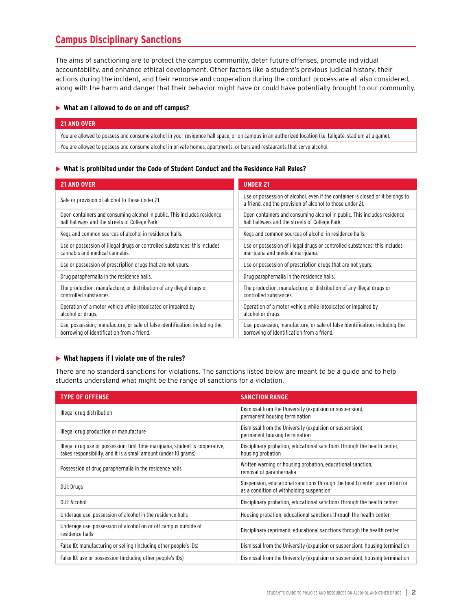# **Campus Disciplinary Sanctions**

The aims of sanctioning are to protect the campus community, deter future offenses, promote individual accountability, and enhance ethical development. Other factors like a student's previous judicial history, their actions during the incident, and their remorse and cooperation during the conduct process are all also considered, along with the harm and danger that their behavior might have or could have potentially brought to our community.

# X **What am I allowed to do on and off campus?**

| 21 AND OVER                                                                                                                                             |
|---------------------------------------------------------------------------------------------------------------------------------------------------------|
| You are allowed to possess and consume alcohol in your residence hall space, or on campus in an authorized location (i.e. tailgate, stadium at a game). |
| You are allowed to possess and consume alcohol in private homes, apartments, or bars and restaurants that serve alcohol.                                |

### X **What is prohibited under the Code of Student Conduct and the Residence Hall Rules?**

| <b>21 AND OVER</b>                                                           | <b>UNDER 21</b>                                                                                                                             |
|------------------------------------------------------------------------------|---------------------------------------------------------------------------------------------------------------------------------------------|
| Sale or provision of alcohol to those under 21.                              | Use or possession of alcohol, even if the container is closed or it belongs to<br>a friend, and the provision of alcohol to those under 21. |
| Open containers and consuming alcohol in public. This includes residence     | Open containers and consuming alcohol in public. This includes residence                                                                    |
| hall hallways and the streets of College Park.                               | hall hallways and the streets of College Park.                                                                                              |
| Kegs and common sources of alcohol in residence halls.                       | Kegs and common sources of alcohol in residence halls.                                                                                      |
| Use or possession of illegal drugs or controlled substances; this includes   | Use or possession of illegal drugs or controlled substances; this includes                                                                  |
| cannabis and medical cannabis.                                               | marijuana and medical marijuana.                                                                                                            |
| Use or possession of prescription drugs that are not yours.                  | Use or possession of prescription drugs that are not yours.                                                                                 |
| Drug paraphernalia in the residence halls.                                   | Drug paraphernalia in the residence halls.                                                                                                  |
| The production, manufacture, or distribution of any illegal drugs or         | The production, manufacture, or distribution of any illegal drugs or                                                                        |
| controlled substances.                                                       | controlled substances.                                                                                                                      |
| Operation of a motor vehicle while intoxicated or impaired by                | Operation of a motor vehicle while intoxicated or impaired by                                                                               |
| alcohol or drugs.                                                            | alcohol or drugs.                                                                                                                           |
| Use, possession, manufacture, or sale of false identification, including the | Use, possession, manufacture, or sale of false Identification, including the                                                                |
| borrowing of identification from a friend.                                   | borrowing of identification from a friend.                                                                                                  |

# X **What happens if I violate one of the rules?**

There are no standard sanctions for violations. The sanctions listed below are meant to be a guide and to help students understand what might be the range of sanctions for a violation.

| <b>TYPE OF OFFENSE</b>                                                                                                                           | <b>SANCTION RANGE</b>                                                                                                  |
|--------------------------------------------------------------------------------------------------------------------------------------------------|------------------------------------------------------------------------------------------------------------------------|
| Illegal drug distribution                                                                                                                        | Dismissal from the University (expulsion or suspension).<br>permanent housing termination                              |
| Illegal drug production or manufacture                                                                                                           | Dismissal from the University (expulsion or suspension).<br>permanent housing termination                              |
| Illegal drug use or possession: first-time marijuana, student is cooperative,<br>takes responsibility, and it is a small amount (under 10 grams) | Disciplinary probation, educational sanctions through the health center,<br>housing probation                          |
| Possession of drug paraphernalia in the residence halls                                                                                          | Written warning or housing probation, educational sanction,<br>removal of paraphernalia                                |
| DUI: Drugs                                                                                                                                       | Suspension, educational sanctions through the health center upon return or<br>as a condition of withholding suspension |
| DUI: Alcohol                                                                                                                                     | Disciplinary probation, educational sanctions through the health center                                                |
| Underage use, possession of alcohol in the residence halls                                                                                       | Housing probation, educational sanctions through the health center                                                     |
| Underage use, possession of alcohol on or off campus outside of<br>residence halls                                                               | Disciplinary reprimand, educational sanctions through the health center                                                |
| False ID: manufacturing or selling (including other people's IDs)                                                                                | Dismissal from the University (expulsion or suspension), housing termination                                           |
| False ID: use or possession (including other people's IDs)                                                                                       | Dismissal from the University (expulsion or suspension), housing termination                                           |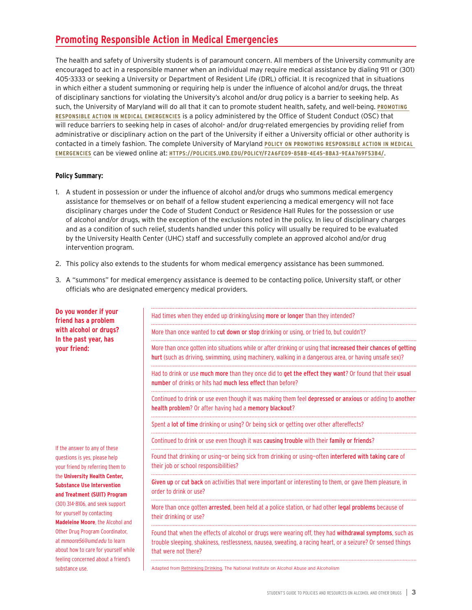# **Promoting Responsible Action in Medical Emergencies**

The health and safety of University students is of paramount concern. All members of the University community are encouraged to act in a responsible manner when an individual may require medical assistance by dialing 911 or (301) 405-3333 or seeking a University or Department of Resident Life (DRL) official. It is recognized that in situations in which either a student summoning or requiring help is under the influence of alcohol and/or drugs, the threat of disciplinary sanctions for violating the University's alcohol and/or drug policy is a barrier to seeking help. As such, the University of Maryland will do all that it can to promote student health, safety, and well-being. **[PROMOTING](http://reslife.umd.edu/rap/)  [RESPONSIBLE ACTION IN MEDICAL EMERGENCIES](http://reslife.umd.edu/rap/)** is a policy administered by the Office of Student Conduct (OSC) that will reduce barriers to seeking help in cases of alcohol- and/or drug-related emergencies by providing relief from administrative or disciplinary action on the part of the University if either a University official or other authority is contacted in a timely fashion. The complete University of Maryland **[POLICY ON PROMOTING RESPONSIBLE ACTION IN MEDICAL](https://policies.umd.edu/policy/f2a6fe09-858b-4e45-bba3-9eaa769f53b4/)  [EMERGENCIES](https://policies.umd.edu/policy/f2a6fe09-858b-4e45-bba3-9eaa769f53b4/)** can be viewed online at: **[HTTPS://POLICIES.UMD.EDU/POLICY/F2A6FE09-858B-4E45-BBA3-9EAA769F53B4/](https://policies.umd.edu/policy/f2a6fe09-858b-4e45-bba3-9eaa769f53b4/)**.

# **Policy Summary:**

- 1. A student in possession or under the influence of alcohol and/or drugs who summons medical emergency assistance for themselves or on behalf of a fellow student experiencing a medical emergency will not face disciplinary charges under the Code of Student Conduct or Residence Hall Rules for the possession or use of alcohol and/or drugs, with the exception of the exclusions noted in the policy. In lieu of disciplinary charges and as a condition of such relief, students handled under this policy will usually be required to be evaluated by the University Health Center (UHC) staff and successfully complete an approved alcohol and/or drug intervention program.
- 2. This policy also extends to the students for whom medical emergency assistance has been summoned.
- 3. A "summons" for medical emergency assistance is deemed to be contacting police, University staff, or other officials who are designated emergency medical providers.

| Do you wonder if your<br>friend has a problem                                                                                                                                                                                                                               | Had times when they ended up drinking/using more or longer than they intended?                                                                                                                                                                 |
|-----------------------------------------------------------------------------------------------------------------------------------------------------------------------------------------------------------------------------------------------------------------------------|------------------------------------------------------------------------------------------------------------------------------------------------------------------------------------------------------------------------------------------------|
| with alcohol or drugs?<br>In the past year, has<br>your friend:<br>If the answer to any of these<br>questions is yes, please help<br>your friend by referring them to<br>the University Health Center,<br><b>Substance Use Intervention</b><br>and Treatment (SUIT) Program | More than once wanted to cut down or stop drinking or using, or tried to, but couldn't?                                                                                                                                                        |
|                                                                                                                                                                                                                                                                             | More than once gotten into situations while or after drinking or using that increased their chances of getting<br>hurt (such as driving, swimming, using machinery, walking in a dangerous area, or having unsafe sex)?                        |
|                                                                                                                                                                                                                                                                             | Had to drink or use much more than they once did to get the effect they want? Or found that their usual<br>number of drinks or hits had much less effect than before?                                                                          |
|                                                                                                                                                                                                                                                                             | Continued to drink or use even though it was making them feel depressed or anxious or adding to another<br>health problem? Or after having had a memory blackout?                                                                              |
|                                                                                                                                                                                                                                                                             | Spent a lot of time drinking or using? Or being sick or getting over other aftereffects?                                                                                                                                                       |
|                                                                                                                                                                                                                                                                             | Continued to drink or use even though it was causing trouble with their family or friends?                                                                                                                                                     |
|                                                                                                                                                                                                                                                                             | Found that drinking or using-or being sick from drinking or using-often interfered with taking care of<br>their job or school responsibilities?                                                                                                |
|                                                                                                                                                                                                                                                                             | Given up or cut back on activities that were important or interesting to them, or gave them pleasure, in<br>order to drink or use?                                                                                                             |
| (301) 314-8106, and seek support<br>for yourself by contacting<br>Madeleine Moore, the Alcohol and                                                                                                                                                                          | More than once gotten arrested, been held at a police station, or had other legal problems because of<br>their drinking or use?                                                                                                                |
| Other Drug Program Coordinator,<br>at mmoore56@umd.edu to learn<br>about how to care for yourself while<br>feeling concerned about a friend's<br>substance use.                                                                                                             | Found that when the effects of alcohol or drugs were wearing off, they had withdrawal symptoms, such as<br>trouble sleeping, shakiness, restlessness, nausea, sweating, a racing heart, or a seizure? Or sensed things<br>that were not there? |
|                                                                                                                                                                                                                                                                             | Adapted from Rethinking Drinking, The National Institute on Alcohol Abuse and Alcoholism                                                                                                                                                       |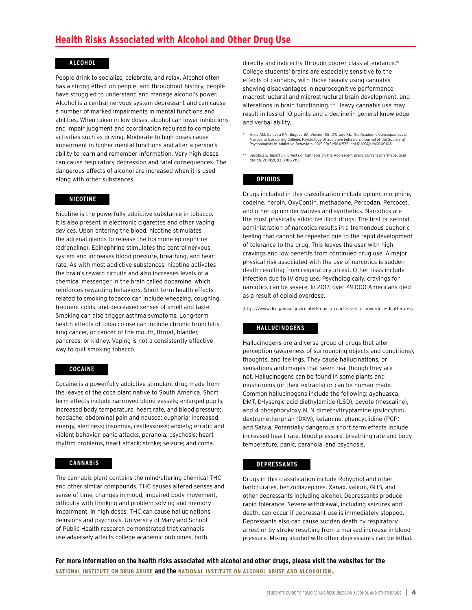# **ALCOHOL**

People drink to socialize, celebrate, and relax. Alcohol often has a strong effect on people—and throughout history, people have struggled to understand and manage alcohol's power. Alcohol is a central nervous system depressant and can cause a number of marked impairments in mental functions and abilities. When taken in low doses, alcohol can lower inhibitions and impair judgment and coordination required to complete activities such as driving. Moderate to high doses cause impairment in higher mental functions and alter a person's ability to learn and remember information. Very high doses can cause respiratory depression and fatal consequences. The dangerous effects of alcohol are increased when it is used along with other substances.

# **NICOTINE**

Nicotine is the powerfully addictive substance in tobacco. It is also present in electronic cigarettes and other vaping devices. Upon entering the blood, nicotine stimulates the adrenal glands to release the hormone epinephrine (adrenaline). Epinephrine stimulates the central nervous system and increases blood pressure, breathing, and heart rate. As with most addictive substances, nicotine activates the brain's reward circuits and also increases levels of a chemical messenger in the brain called dopamine, which reinforces rewarding behaviors. Short term health effects related to smoking tobacco can include wheezing, coughing, frequent colds, and decreased senses of smell and taste. Smoking can also trigger asthma symptoms. Long-term health effects of tobacco use can include chronic bronchitis, lung cancer, or cancer of the mouth, throat, bladder, pancreas, or kidney. Vaping is not a consistently effective way to quit smoking tobacco.

### **COCAINE**

Cocaine is a powerfully addictive stimulant drug made from the leaves of the coca plant native to South America. Short term effects include narrowed blood vessels; enlarged pupils; increased body temperature, heart rate, and blood pressure; headache; abdominal pain and nausea; euphoria; increased energy, alertness; insomnia, restlessness; anxiety; erratic and violent behavior, panic attacks, paranoia, psychosis; heart rhythm problems, heart attack; stroke; seizure; and coma.

#### **CANNABIS**

The cannabis plant contains the mind-altering chemical THC and other similar compounds. THC causes altered senses and sense of time, changes in mood, impaired body movement, difficulty with thinking and problem solving and memory impairment. In high doses, THC can cause hallucinations, delusions and psychosis. University of Maryland School of Public Health research demonstrated that cannabis use adversely affects college academic outcomes, both

directly and indirectly through poorer class attendance.\* College students' brains are especially sensitive to the effects of cannabis, with those heavily using cannabis showing disadvantages in neurocognitive performance, macrostructural and microstructural brain development, and alterations in brain functioning.\*\* Heavy cannabis use may result in loss of IQ points and a decline in general knowledge and verbal ability.

- Arria AM, Caldeira KM, Bugbee BA, Vincent KB, O'Grady KE. The Academic Consequences of Marijuana Use during College. Psychology of addictive behaviors : journal of the Society of Psychologists in Addictive Behaviors. 2015;29(3):564-575. doi:10.1037/adb0000108.
- \*\* Jacobus J, Tapert SF. Effects of Cannabis on the Adolescent Brain. Current pharmaceutical design. 2014;20(13):2186-2193.

#### **OPIOIDS**

Drugs included in this classification include opium, morphine, codeine, heroin, OxyContin, methadone, Percodan, Percocet, and other opium derivatives and synthetics. Narcotics are the most physically addictive illicit drugs. The first or second administration of narcotics results in a tremendous euphoric feeling that cannot be repeated due to the rapid development of tolerance to the drug. This leaves the user with high cravings and low benefits from continued drug use. A major physical risk associated with the use of narcotics is sudden death resulting from respiratory arrest. Other risks include infection due to IV drug use. Psychologically, cravings for narcotics can be severe. In 2017, over 49,000 Americans died as a result of opioid overdose.

([https://www.drugabuse.gov/related-topics/trends-statistics/overdose-death-rates\)](https://www.drugabuse.gov/related-topics/trends-statistics/overdose-death-rates)

### **HALLUCINOGENS**

Hallucinogens are a diverse group of drugs that alter perception (awareness of surrounding objects and conditions), thoughts, and feelings. They cause hallucinations, or sensations and images that seem real though they are not. Hallucinogens can be found in some plants and mushrooms (or their extracts) or can be human-made. Common hallucinogens include the following: ayahuasca, DMT, D-lysergic acid diethylamide (LSD), peyote (mescaline), and 4-phosphoryloxy-N, N-dimethyltryptamine (psilocybin), dextromethorphan (DXM), ketamine, phencyclidine (PCP) and Salvia. Potentially dangerous short-term effects include increased heart rate, blood pressure, breathing rate and body temperature, panic, paranoia, and psychosis.

#### **DEPRESSANTS**

Drugs in this classification include Rohypnol and other barbiturates, benzodiazepines, Xanax, valium, GHB, and other depressants including alcohol. Depressants produce rapid tolerance. Severe withdrawal, including seizures and death, can occur if depressant use is immediately stopped. Depressants also can cause sudden death by respiratory arrest or by stroke resulting from a marked increase in blood pressure. Mixing alcohol with other depressants can be lethal.

**For more information on the health risks associated with alcohol and other drugs, please visit the websites for the [NATIONAL INSTITUTE ON DRUG ABUSE](https://www.drugabuse.gov/) and the [NATIONAL INSTITUTE ON ALCOHOL ABUSE AND ALCOHOLISM.](https://www.niaaa.nih.gov/)**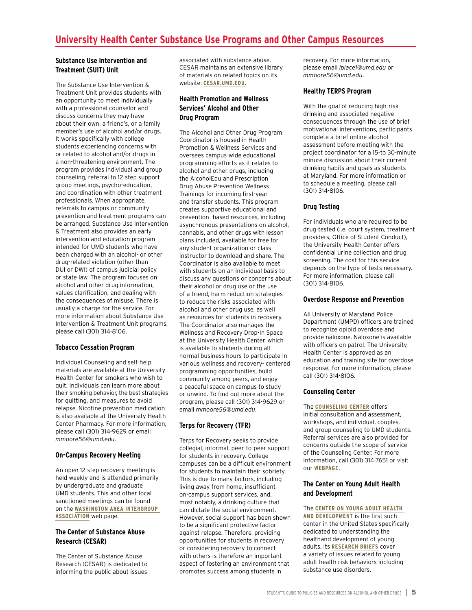# **Substance Use Intervention and Treatment (SUIT) Unit**

The Substance Use Intervention & Treatment Unit provides students with an opportunity to meet individually with a professional counselor and discuss concerns they may have about their own, a friend's, or a family member's use of alcohol and/or drugs. It works specifically with college students experiencing concerns with or related to alcohol and/or drugs in a non-threatening environment. The program provides individual and group counseling, referral to 12-step support group meetings, psycho-education, and coordination with other treatment professionals. When appropriate, referrals to campus or community prevention and treatment programs can be arranged. Substance Use Intervention & Treatment also provides an early intervention and education program intended for UMD students who have been charged with an alcohol- or other drug-related violation (other than DUI or DWI) of campus judicial policy or state law. The program focuses on alcohol and other drug information, values clarification, and dealing with the consequences of misuse. There is usually a charge for the service. For more information about Substance Use Intervention & Treatment Unit programs, please call (301) 314-8106.

# **Tobacco Cessation Program**

Individual Counseling and self-help materials are available at the University Health Center for smokers who wish to quit. Individuals can learn more about their smoking behavior, the best strategies for quitting, and measures to avoid relapse. Nicotine prevention medication is also available at the University Health Center Pharmacy. For more information, please call (301) 314-9629 or email *[mmoore56@umd.edu](mailto:mmoore56%40umd.edu?subject=)*.

# **On-Campus Recovery Meeting**

An open 12-step recovery meeting is held weekly and is attended primarily by undergraduate and graduate UMD students. This and other local sanctioned meetings can be found on the **[WASHINGTON AREA INTERGROUP](https://aa-dc.org/)  [ASSOCIATION](https://aa-dc.org/)** web page.

# **The Center of Substance Abuse Research (CESAR)**

The Center of Substance Abuse Research (CESAR) is dedicated to informing the public about issues associated with substance abuse. CESAR maintains an extensive library of materials on related topics on its website: **[CESAR.UMD.EDU](http://CESAR.UMD.EDU)**.

# **Health Promotion and Wellness Services' Alcohol and Other Drug Program**

The Alcohol and Other Drug Program Coordinator is housed in Health Promotion & Wellness Services and oversees campus-wide educational programming efforts as it relates to alcohol and other drugs, including the AlcoholEdu and Prescription Drug Abuse Prevention Wellness Trainings for incoming first-year and transfer students. This program creates supportive educational and prevention -based resources, including asynchronous presentations on alcohol, cannabis, and other drugs with lesson plans included, available for free for any student organization or class instructor to download and share. The Coordinator is also available to meet with students on an individual basis to discuss any questions or concerns about their alcohol or drug use or the use of a friend, harm reduction strategies to reduce the risks associated with alcohol and other drug use, as well as resources for students in recovery. The Coordinator also manages the Wellness and Recovery Drop-In Space at the University Health Center, which is available to students during all normal business hours to participate in various wellness and recovery- centered programming opportunities, build community among peers, and enjoy a peaceful space on campus to study or unwind. To find out more about the program, please call (301) 314-9629 or email *[mmoore56@umd.edu](mailto:mmoore56%40umd.edu?subject=)*.

# **Terps for Recovery (TFR)**

Terps for Recovery seeks to provide collegial, informal, peer-to-peer support for students in recovery. College campuses can be a difficult environment for students to maintain their sobriety. This is due to many factors, including living away from home, insufficient on-campus support services, and, most notably, a drinking culture that can dictate the social environment. However, social support has been shown to be a significant protective factor against relapse. Therefore, providing opportunities for students in recovery or considering recovery to connect with others is therefore an important aspect of fostering an environment that promotes success among students in

recovery. For more information, please email *[lplace1@umd.edu](mailto:lplace1%40umd.edu?subject=)* or *[mmoore56@umd.edu](mailto:mmoore56%40umd.edu?subject=)*.

# **Healthy TERPS Program**

With the goal of reducing high-risk drinking and associated negative consequences through the use of brief motivational interventions, participants complete a brief online alcohol assessment before meeting with the project coordinator for a 15-to 30-minute minute discussion about their current drinking habits and goals as students at Maryland. For more information or to schedule a meeting, please call (301) 314-8106.

# **Drug Testing**

For individuals who are required to be drug-tested (i.e. court system, treatment providers, Office of Student Conduct), the University Health Center offers confidential urine collection and drug screening. The cost for this service depends on the type of tests necessary. For more information, please call (301) 314-8106.

# **Overdose Response and Prevention**

All University of Maryland Police Department (UMPD) officers are trained to recognize opioid overdose and provide naloxone. Naloxone is available with officers on patrol. The University Health Center is approved as an education and training site for overdose response. For more information, please call (301) 314-8106.

# **Counseling Center**

The **[COUNSELING CENTER](https://www.counseling.umd.edu/)** offers initial consultation and assessment, workshops, and individual, couples, and group counseling to UMD students. Referral services are also provided for concerns outside the scope of service of the Counseling Center. For more information, call (301) 314-7651 or visit our **[WEBPAGE](http://counseling.umd.edu)**.

### **The Center on Young Adult Health and Development**

The **[CENTER ON YOUNG ADULT HEALTH](https://sph.umd.edu/research-impact/research-centers/center-young-adult-health-and-development)  [AND DEVELOPMENT](https://sph.umd.edu/research-impact/research-centers/center-young-adult-health-and-development)** is the first such center in the United States specifically dedicated to understanding the healthand development of young adults. Its **[RESEARCH BRIEFS](https://sph.umd.edu/research-impact/research-centers/center-young-adult-health-and-development/research-findings-center-young-adult-health-and-development)** cover a variety of issues related to young adult health risk behaviors including substance use disorders.